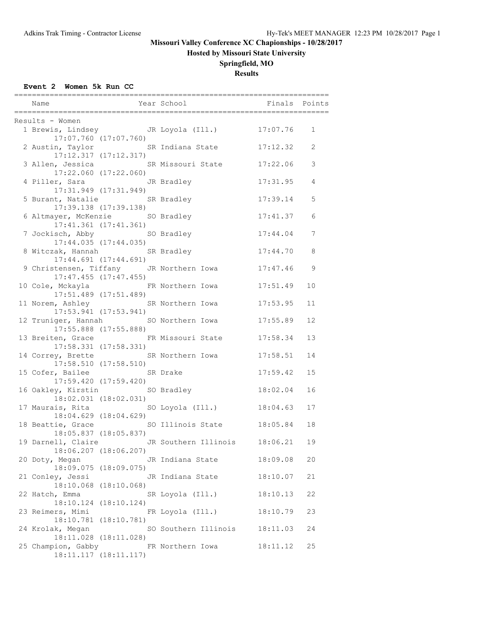**Hosted by Missouri State University**

## **Springfield, MO**

**Results**

### **Event 2 Women 5k Run CC**

| Name                                |                           | Year School <b>Finals</b> Points                 |          |             |
|-------------------------------------|---------------------------|--------------------------------------------------|----------|-------------|
|                                     |                           |                                                  |          |             |
| Results - Women                     |                           |                                                  |          |             |
|                                     |                           | 1 Brewis, Lindsey JR Loyola (Ill.) 17:07.76      |          | $\mathbf 1$ |
|                                     | 17:07.760 (17:07.760)     |                                                  |          |             |
|                                     |                           | 2 Austin, Taylor SR Indiana State                | 17:12.32 | 2           |
|                                     | 17:12.317(17:12.317)      |                                                  |          |             |
| 17:22.060 (17:22.060)               |                           | 3 Allen, Jessica SR Missouri State               | 17:22.06 | 3           |
| 4 Piller, Sara                      |                           | JR Bradley                                       | 17:31.95 | 4           |
|                                     | 17:31.949 (17:31.949)     |                                                  |          |             |
| 5 Burant, Natalie SR Bradley        |                           |                                                  | 17:39.14 | 5           |
|                                     | 17:39.138 (17:39.138)     |                                                  |          |             |
| 6 Altmayer, McKenzie SO Bradley     |                           |                                                  | 17:41.37 | 6           |
|                                     | $17:41.361$ $(17:41.361)$ |                                                  |          |             |
| 7 Jockisch, Abby SO Bradley         |                           |                                                  | 17:44.04 | 7           |
|                                     | $17:44.035$ $(17:44.035)$ |                                                  |          |             |
| 8 Witczak, Hannah SR Bradley        |                           |                                                  | 17:44.70 | 8           |
|                                     | $17:44.691$ $(17:44.691)$ |                                                  |          |             |
|                                     |                           | 9 Christensen, Tiffany JR Northern Iowa          | 17:47.46 | 9           |
|                                     | $17:47.455$ $(17:47.455)$ |                                                  |          |             |
| 10 Cole, Mckayla 6 ER Northern Iowa |                           |                                                  | 17:51.49 | 10          |
|                                     | $17:51.489$ $(17:51.489)$ |                                                  |          |             |
| 11 Norem, Ashley SR Northern Iowa   |                           |                                                  | 17:53.95 | 11          |
|                                     | $17:53.941$ $(17:53.941)$ |                                                  |          |             |
|                                     |                           | 12 Truniger, Hannah SO Northern Iowa             | 17:55.89 | 12          |
|                                     | $17:55.888$ $(17:55.888)$ |                                                  |          |             |
|                                     |                           | 13 Breiten, Grace FR Missouri State              | 17:58.34 | 13          |
|                                     | 17:58.331 (17:58.331)     |                                                  |          |             |
| 14 Correy, Brette SR Northern Iowa  | 17:58.510 (17:58.510)     |                                                  | 17:58.51 | 14          |
|                                     | SR Drake                  |                                                  | 17:59.42 | 15          |
| 15 Cofer, Bailee                    | 17:59.420 (17:59.420)     |                                                  |          |             |
| 16 Oakley, Kirstin                  |                           | SO Bradley                                       | 18:02.04 | 16          |
|                                     | 18:02.031 (18:02.031)     |                                                  |          |             |
| 17 Maurais, Rita                    |                           | SO Loyola (Ill.)                                 | 18:04.63 | 17          |
|                                     | 18:04.629 (18:04.629)     |                                                  |          |             |
|                                     |                           | 18 Beattie, Grace 50 Illinois State              | 18:05.84 | 18          |
|                                     | 18:05.837 (18:05.837)     |                                                  |          |             |
|                                     |                           | 19 Darnell, Claire GR Southern Illinois 18:06.21 |          | 19          |
|                                     | 18:06.207 (18:06.207)     |                                                  |          |             |
| 20 Doty, Megan                      |                           | JR Indiana State                                 | 18:09.08 | 20          |
|                                     | 18:09.075 (18:09.075)     |                                                  |          |             |
| 21 Conley, Jessi                    |                           | JR Indiana State                                 | 18:10.07 | 21          |
|                                     | 18:10.068 (18:10.068)     |                                                  |          |             |
| 22 Hatch, Emma                      |                           | SR Loyola (Ill.)                                 | 18:10.13 | 22          |
|                                     | 18:10.124 (18:10.124)     |                                                  |          |             |
| 23 Reimers, Mimi                    |                           | FR Loyola (Ill.)                                 | 18:10.79 | 23          |
|                                     | 18:10.781 (18:10.781)     |                                                  |          |             |
| 24 Krolak, Megan                    |                           | SO Southern Illinois                             | 18:11.03 | 24          |
| 25 Champion, Gabby                  | 18:11.028 (18:11.028)     | FR Northern Iowa                                 | 18:11.12 | 25          |
|                                     | 18:11.117 (18:11.117)     |                                                  |          |             |
|                                     |                           |                                                  |          |             |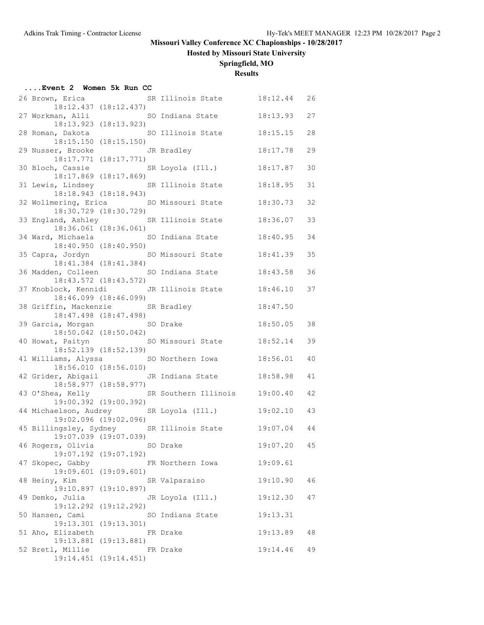**Hosted by Missouri State University**

## **Springfield, MO**

### **Results**

|  | Event 2 Women 5k Run CC                    |                                                |                                                  |          |    |
|--|--------------------------------------------|------------------------------------------------|--------------------------------------------------|----------|----|
|  | 26 Brown, Erica                            | 18:12.437 (18:12.437)                          | SR Illinois State 18:12.44                       |          | 26 |
|  |                                            | 18:13.923 (18:13.923)                          | 27 Workman, Alli SO Indiana State                | 18:13.93 | 27 |
|  |                                            | $18:15.150$ $(18:15.150)$                      | 28 Roman, Dakota 60 SO Illinois State            | 18:15.15 | 28 |
|  | 29 Nusser, Brooke JR Bradley               | 18:17.771 (18:17.771)                          |                                                  | 18:17.78 | 29 |
|  |                                            | 18:17.869 (18:17.869)                          | 30 Bloch, Cassie SR Loyola (Ill.)                | 18:17.87 | 30 |
|  |                                            | 18:18.943 (18:18.943)                          | 31 Lewis, Lindsey SR Illinois State              | 18:18.95 | 31 |
|  | 32 Wollmering, Erica                       | 18:30.729 (18:30.729)                          | SO Missouri State                                | 18:30.73 | 32 |
|  |                                            | 18:36.061 (18:36.061)                          | 33 England, Ashley SR Illinois State             | 18:36.07 | 33 |
|  | 34 Ward, Michaela SO Indiana State         | 18:40.950 (18:40.950)                          |                                                  | 18:40.95 | 34 |
|  |                                            | 18:41.384 (18:41.384)                          | 35 Capra, Jordyn SO Missouri State               | 18:41.39 | 35 |
|  |                                            | 18:43.572 (18:43.572)                          | 36 Madden, Colleen SO Indiana State              | 18:43.58 | 36 |
|  |                                            | $18:46.099$ $(18:46.099)$                      | 37 Knoblock, Kennidi JR Illinois State           | 18:46.10 | 37 |
|  | 38 Griffin, Mackenzie                      | SR Bradley<br>18:47.498 (18:47.498)            |                                                  | 18:47.50 |    |
|  | 39 Garcia, Morgan SO Drake                 | 18:50.042 (18:50.042)                          |                                                  | 18:50.05 | 38 |
|  |                                            |                                                | 40 Howat, Paityn SO Missouri State               | 18:52.14 | 39 |
|  | 41 Williams, Alyssa SO Northern Iowa       | 18:52.139 (18:52.139)<br>18:56.010 (18:56.010) |                                                  | 18:56.01 | 40 |
|  |                                            |                                                | 42 Grider, Abigail <a> JR<br/> Indiana State</a> | 18:58.98 | 41 |
|  |                                            | 18:58.977 (18:58.977)                          | 43 O'Shea, Kelly SR Southern Illinois            | 19:00.40 | 42 |
|  | 44 Michaelson, Audrey                      | 19:00.392 (19:00.392)                          | SR Loyola (Ill.)                                 | 19:02.10 | 43 |
|  |                                            | 19:02.096 (19:02.096)                          | 45 Billingsley, Sydney SR Illinois State         | 19:07.04 | 44 |
|  | 19:07.039 (19:07.039)<br>46 Rogers, Olivia |                                                | SO Drake                                         | 19:07.20 | 45 |
|  | 47 Skopec, Gabby                           | 19:07.192 (19:07.192)                          | FR Northern Iowa                                 | 19:09.61 |    |
|  | 48 Heiny, Kim                              | 19:09.601 (19:09.601)                          | SR Valparaiso                                    | 19:10.90 | 46 |
|  | 49 Demko, Julia                            | 19:10.897 (19:10.897)                          | JR Loyola (Ill.)                                 | 19:12.30 | 47 |
|  | 50 Hansen, Cami                            | 19:12.292 (19:12.292)                          | SO Indiana State                                 | 19:13.31 |    |
|  | 51 Aho, Elizabeth                          | 19:13.301 (19:13.301)                          | FR Drake                                         | 19:13.89 | 48 |
|  | 52 Bretl, Millie                           | 19:13.881 (19:13.881)                          | FR Drake                                         | 19:14.46 | 49 |
|  |                                            | 19:14.451 (19:14.451)                          |                                                  |          |    |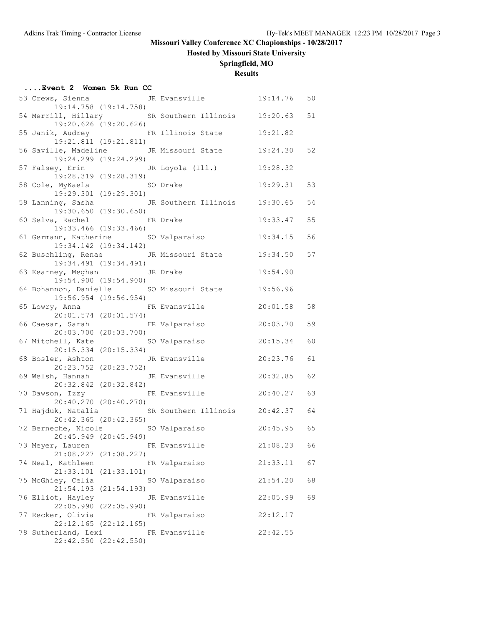# **Hosted by Missouri State University**

## **Springfield, MO**

### **Results**

| Event 2 Women 5k Run CC                                    |                                        |                                                   |          |    |
|------------------------------------------------------------|----------------------------------------|---------------------------------------------------|----------|----|
| 53 Crews, Sienna                                           | 19:14.758 (19:14.758)                  | JR Evansville 19:14.76                            |          | 50 |
|                                                            | 19:20.626 (19:20.626)                  | 54 Merrill, Hillary SR Southern Illinois 19:20.63 |          | 51 |
|                                                            | 19:21.811 (19:21.811)                  | 55 Janik, Audrey TR Illinois State                | 19:21.82 |    |
|                                                            | 19:24.299 (19:24.299)                  | 56 Saville, Madeline JR Missouri State            | 19:24.30 | 52 |
|                                                            | 19:28.319 (19:28.319)                  | 57 Falsey, Erin     JR Loyola (Ill.)              | 19:28.32 |    |
| 58 Cole, MyKaela SO Drake                                  | 19:29.301 (19:29.301)                  |                                                   | 19:29.31 | 53 |
| 59 Lanning, Sasha                                          | 19:30.650 (19:30.650)                  | JR Southern Illinois 19:30.65                     |          | 54 |
| 60 Selva, Rachel                                           | 19:33.466 (19:33.466)                  | FR Drake                                          | 19:33.47 | 55 |
| 61 Germann, Katherine SO Valparaiso                        | 19:34.142 (19:34.142)                  |                                                   | 19:34.15 | 56 |
|                                                            | 19:34.491 (19:34.491)                  | 62 Buschling, Renae JR Missouri State             | 19:34.50 | 57 |
| 63 Kearney, Meghan Man JR Drake                            | 19:54.900 (19:54.900)                  |                                                   | 19:54.90 |    |
|                                                            | 19:56.954 (19:56.954)                  | 64 Bohannon, Danielle SO Missouri State           | 19:56.96 |    |
| 65 Lowry, Anna                                             | 20:01.574 (20:01.574)                  | FR Evansville                                     | 20:01.58 | 58 |
| 66 Caesar, Sarah                                           | 20:03.700 (20:03.700)                  | FR Valparaiso                                     | 20:03.70 | 59 |
| 67 Mitchell, Kate                                          | SO Valparaiso<br>20:15.334 (20:15.334) |                                                   | 20:15.34 | 60 |
| 68 Bosler, Ashton JR Evansville                            | 20:23.752 (20:23.752)                  |                                                   | 20:23.76 | 61 |
| 69 Welsh, Hannah Manus JR Evansville                       | 20:32.842 (20:32.842)                  |                                                   | 20:32.85 | 62 |
|                                                            | 20:40.270 (20:40.270)                  | 70 Dawson, Izzy FR Evansville                     | 20:40.27 | 63 |
|                                                            | 20:42.365 (20:42.365)                  | 71 Hajduk, Natalia SR Southern Illinois 20:42.37  |          | 64 |
| 72 Berneche, Nicole 50 Valparaiso<br>20:45.949 (20:45.949) |                                        |                                                   | 20:45.95 | 65 |
| 73 Meyer, Lauren                                           | $21:08.227$ $(21:08.227)$              | FR Evansville                                     | 21:08.23 | 66 |
| 74 Neal, Kathleen                                          | 21:33.101 (21:33.101)                  | FR Valparaiso                                     | 21:33.11 | 67 |
| 75 McGhiey, Celia                                          | 21:54.193 (21:54.193)                  | SO Valparaiso                                     | 21:54.20 | 68 |
| 76 Elliot, Hayley                                          | 22:05.990 (22:05.990)                  | JR Evansville                                     | 22:05.99 | 69 |
| 77 Recker, Olivia                                          | $22:12.165$ $(22:12.165)$              | FR Valparaiso                                     | 22:12.17 |    |
| 78 Sutherland, Lexi FR Evansville                          | 22:42.550 (22:42.550)                  |                                                   | 22:42.55 |    |